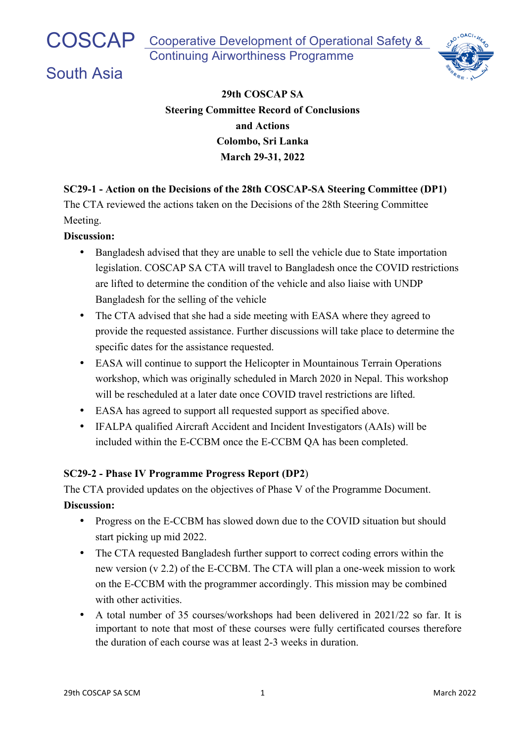# South Asia



## **29th COSCAP SA Steering Committee Record of Conclusions and Actions Colombo, Sri Lanka March 29-31, 2022**

## **SC29-1 - Action on the Decisions of the 28th COSCAP-SA Steering Committee (DP1)**

The CTA reviewed the actions taken on the Decisions of the 28th Steering Committee Meeting.

#### **Discussion:**

- Bangladesh advised that they are unable to sell the vehicle due to State importation legislation. COSCAP SA CTA will travel to Bangladesh once the COVID restrictions are lifted to determine the condition of the vehicle and also liaise with UNDP Bangladesh for the selling of the vehicle
- The CTA advised that she had a side meeting with EASA where they agreed to provide the requested assistance. Further discussions will take place to determine the specific dates for the assistance requested.
- EASA will continue to support the Helicopter in Mountainous Terrain Operations workshop, which was originally scheduled in March 2020 in Nepal. This workshop will be rescheduled at a later date once COVID travel restrictions are lifted.
- EASA has agreed to support all requested support as specified above.
- IFALPA qualified Aircraft Accident and Incident Investigators (AAIs) will be included within the E-CCBM once the E-CCBM QA has been completed.

## **SC29-2 - Phase IV Programme Progress Report (DP2**)

The CTA provided updates on the objectives of Phase V of the Programme Document. **Discussion:**

- Progress on the E-CCBM has slowed down due to the COVID situation but should start picking up mid 2022.
- The CTA requested Bangladesh further support to correct coding errors within the new version (v 2.2) of the E-CCBM. The CTA will plan a one-week mission to work on the E-CCBM with the programmer accordingly. This mission may be combined with other activities.
- A total number of 35 courses/workshops had been delivered in 2021/22 so far. It is important to note that most of these courses were fully certificated courses therefore the duration of each course was at least 2-3 weeks in duration.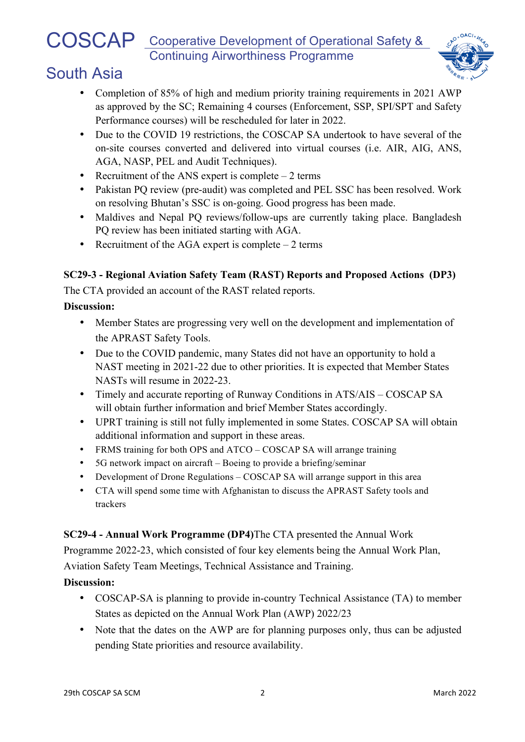# COSCAP Cooperative Development of Operational Safety & Continuing Airworthiness Programme



# South Asia

- Completion of 85% of high and medium priority training requirements in 2021 AWP as approved by the SC; Remaining 4 courses (Enforcement, SSP, SPI/SPT and Safety Performance courses) will be rescheduled for later in 2022.
- Due to the COVID 19 restrictions, the COSCAP SA undertook to have several of the on-site courses converted and delivered into virtual courses (i.e. AIR, AIG, ANS, AGA, NASP, PEL and Audit Techniques).
- Recruitment of the ANS expert is complete  $-2$  terms
- Pakistan PO review (pre-audit) was completed and PEL SSC has been resolved. Work on resolving Bhutan's SSC is on-going. Good progress has been made.
- Maldives and Nepal PQ reviews/follow-ups are currently taking place. Bangladesh PQ review has been initiated starting with AGA.
- Recruitment of the AGA expert is complete  $-2$  terms

## **SC29-3 - Regional Aviation Safety Team (RAST) Reports and Proposed Actions (DP3)**

The CTA provided an account of the RAST related reports.

#### **Discussion:**

- Member States are progressing very well on the development and implementation of the APRAST Safety Tools.
- Due to the COVID pandemic, many States did not have an opportunity to hold a NAST meeting in 2021-22 due to other priorities. It is expected that Member States NASTs will resume in 2022-23.
- Timely and accurate reporting of Runway Conditions in ATS/AIS COSCAP SA will obtain further information and brief Member States accordingly.
- UPRT training is still not fully implemented in some States. COSCAP SA will obtain additional information and support in these areas.
- FRMS training for both OPS and ATCO COSCAP SA will arrange training
- 5G network impact on aircraft Boeing to provide a briefing/seminar
- Development of Drone Regulations COSCAP SA will arrange support in this area
- CTA will spend some time with Afghanistan to discuss the APRAST Safety tools and trackers

#### **SC29-4 - Annual Work Programme (DP4)**The CTA presented the Annual Work

Programme 2022-23, which consisted of four key elements being the Annual Work Plan, Aviation Safety Team Meetings, Technical Assistance and Training.

## **Discussion:**

- COSCAP-SA is planning to provide in-country Technical Assistance (TA) to member States as depicted on the Annual Work Plan (AWP) 2022/23
- Note that the dates on the AWP are for planning purposes only, thus can be adjusted pending State priorities and resource availability.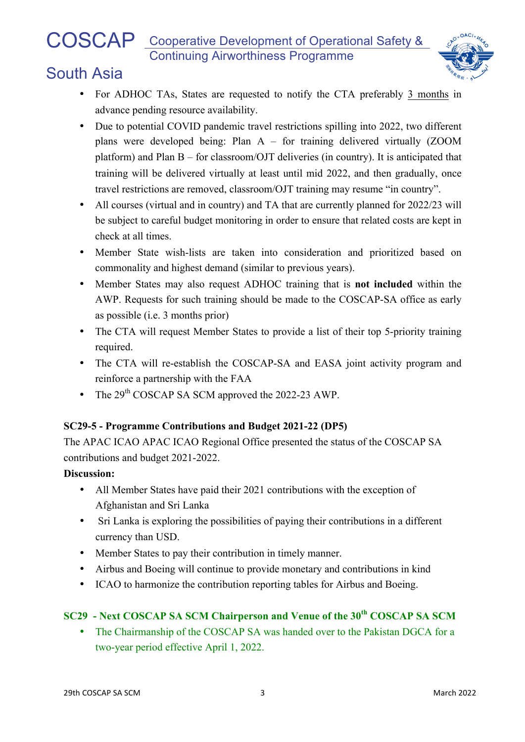## COSCAP Cooperative Development of Operational Safety & Continuing Airworthiness Programme



# South Asia

- For ADHOC TAs, States are requested to notify the CTA preferably 3 months in advance pending resource availability.
- Due to potential COVID pandemic travel restrictions spilling into 2022, two different plans were developed being: Plan A – for training delivered virtually (ZOOM platform) and Plan B – for classroom/OJT deliveries (in country). It is anticipated that training will be delivered virtually at least until mid 2022, and then gradually, once travel restrictions are removed, classroom/OJT training may resume "in country".
- All courses (virtual and in country) and TA that are currently planned for 2022/23 will be subject to careful budget monitoring in order to ensure that related costs are kept in check at all times.
- Member State wish-lists are taken into consideration and prioritized based on commonality and highest demand (similar to previous years).
- Member States may also request ADHOC training that is **not included** within the AWP. Requests for such training should be made to the COSCAP-SA office as early as possible (i.e. 3 months prior)
- The CTA will request Member States to provide a list of their top 5-priority training required.
- The CTA will re-establish the COSCAP-SA and EASA joint activity program and reinforce a partnership with the FAA
- The 29<sup>th</sup> COSCAP SA SCM approved the 2022-23 AWP.

## **SC29-5 - Programme Contributions and Budget 2021-22 (DP5)**

The APAC ICAO APAC ICAO Regional Office presented the status of the COSCAP SA contributions and budget 2021-2022.

#### **Discussion:**

- All Member States have paid their 2021 contributions with the exception of Afghanistan and Sri Lanka
- Sri Lanka is exploring the possibilities of paying their contributions in a different currency than USD.
- Member States to pay their contribution in timely manner.
- Airbus and Boeing will continue to provide monetary and contributions in kind
- ICAO to harmonize the contribution reporting tables for Airbus and Boeing.

## **SC29 - Next COSCAP SA SCM Chairperson and Venue of the 30th COSCAP SA SCM**

• The Chairmanship of the COSCAP SA was handed over to the Pakistan DGCA for a two-year period effective April 1, 2022.